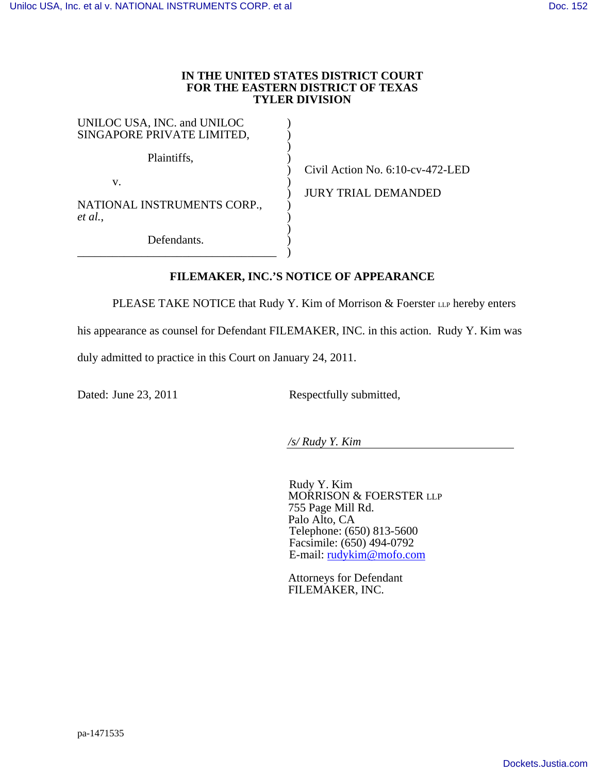## **IN THE UNITED STATES DISTRICT COURT FOR THE EASTERN DISTRICT OF TEXAS TYLER DIVISION**

) ) ) )  $\overline{)}$  $\overline{)}$  $\overline{)}$  $\overline{)}$  $\overline{)}$  $\overline{)}$  $\overline{)}$  $\overline{)}$ 

| UNILOC USA, INC. and UNILOC<br>SINGAPORE PRIVATE LIMITED, |
|-----------------------------------------------------------|
| Plaintiffs,                                               |
| V.                                                        |
| NATIONAL INSTRUMENTS CORP.,<br>et al.,                    |
| Defendants.                                               |

Civil Action No. 6:10-cv-472-LED

JURY TRIAL DEMANDED

## **FILEMAKER, INC.'S NOTICE OF APPEARANCE**

PLEASE TAKE NOTICE that Rudy Y. Kim of Morrison & Foerster LLP hereby enters

his appearance as counsel for Defendant FILEMAKER, INC. in this action. Rudy Y. Kim was

duly admitted to practice in this Court on January 24, 2011.

Dated: June 23, 2011 Respectfully submitted,

*/s/ Rudy Y. Kim* 

Rudy Y. Kim MORRISON & FOERSTER LLP 755 Page Mill Rd. Palo Alto, CA Telephone: (650) 813-5600 Facsimile: (650) 494-0792 E-mail: rudykim@mofo.com

Attorneys for Defendant FILEMAKER, INC.